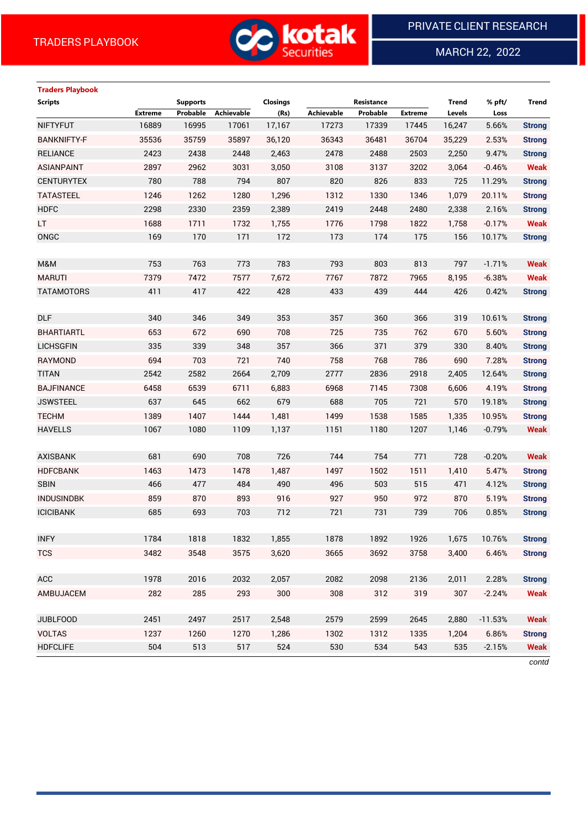

MARCH 22, 2022

 $\overline{a}$ 

# **Traders Playbook**

| <b>Scripts</b>     |                | <b>Supports</b> |                   | <b>Closings</b> |            | Resistance |                | Trend  | % pft/    | Trend         |
|--------------------|----------------|-----------------|-------------------|-----------------|------------|------------|----------------|--------|-----------|---------------|
|                    | <b>Extreme</b> | Probable        | <b>Achievable</b> | (Rs)            | Achievable | Probable   | <b>Extreme</b> | Levels | Loss      |               |
| <b>NIFTYFUT</b>    | 16889          | 16995           | 17061             | 17,167          | 17273      | 17339      | 17445          | 16,247 | 5.66%     | <b>Strong</b> |
| <b>BANKNIFTY-F</b> | 35536          | 35759           | 35897             | 36,120          | 36343      | 36481      | 36704          | 35,229 | 2.53%     | <b>Strong</b> |
| <b>RELIANCE</b>    | 2423           | 2438            | 2448              | 2,463           | 2478       | 2488       | 2503           | 2,250  | 9.47%     | <b>Strong</b> |
| <b>ASIANPAINT</b>  | 2897           | 2962            | 3031              | 3,050           | 3108       | 3137       | 3202           | 3,064  | $-0.46%$  | <b>Weak</b>   |
| <b>CENTURYTEX</b>  | 780            | 788             | 794               | 807             | 820        | 826        | 833            | 725    | 11.29%    | <b>Strong</b> |
| <b>TATASTEEL</b>   | 1246           | 1262            | 1280              | 1,296           | 1312       | 1330       | 1346           | 1,079  | 20.11%    | <b>Strong</b> |
| <b>HDFC</b>        | 2298           | 2330            | 2359              | 2,389           | 2419       | 2448       | 2480           | 2,338  | 2.16%     | <b>Strong</b> |
| LT.                | 1688           | 1711            | 1732              | 1,755           | 1776       | 1798       | 1822           | 1,758  | $-0.17%$  | <b>Weak</b>   |
| ONGC               | 169            | 170             | 171               | 172             | 173        | 174        | 175            | 156    | 10.17%    | <b>Strong</b> |
|                    |                |                 |                   |                 |            |            |                |        |           |               |
| M&M                | 753            | 763             | 773               | 783             | 793        | 803        | 813            | 797    | $-1.71%$  | <b>Weak</b>   |
| <b>MARUTI</b>      | 7379           | 7472            | 7577              | 7,672           | 7767       | 7872       | 7965           | 8,195  | $-6.38%$  | <b>Weak</b>   |
| <b>TATAMOTORS</b>  | 411            | 417             | 422               | 428             | 433        | 439        | 444            | 426    | 0.42%     | <b>Strong</b> |
|                    |                |                 |                   |                 |            |            |                |        |           |               |
| <b>DLF</b>         | 340            | 346             | 349               | 353             | 357        | 360        | 366            | 319    | 10.61%    | <b>Strong</b> |
| <b>BHARTIARTL</b>  | 653            | 672             | 690               | 708             | 725        | 735        | 762            | 670    | 5.60%     | <b>Strong</b> |
| <b>LICHSGFIN</b>   | 335            | 339             | 348               | 357             | 366        | 371        | 379            | 330    | 8.40%     | <b>Strong</b> |
| RAYMOND            | 694            | 703             | 721               | 740             | 758        | 768        | 786            | 690    | 7.28%     | <b>Strong</b> |
| <b>TITAN</b>       | 2542           | 2582            | 2664              | 2,709           | 2777       | 2836       | 2918           | 2,405  | 12.64%    | <b>Strong</b> |
| <b>BAJFINANCE</b>  | 6458           | 6539            | 6711              | 6,883           | 6968       | 7145       | 7308           | 6,606  | 4.19%     | <b>Strong</b> |
| <b>JSWSTEEL</b>    | 637            | 645             | 662               | 679             | 688        | 705        | 721            | 570    | 19.18%    | <b>Strong</b> |
| <b>TECHM</b>       | 1389           | 1407            | 1444              | 1,481           | 1499       | 1538       | 1585           | 1,335  | 10.95%    | <b>Strong</b> |
| <b>HAVELLS</b>     | 1067           | 1080            | 1109              | 1,137           | 1151       | 1180       | 1207           | 1,146  | $-0.79%$  | <b>Weak</b>   |
|                    |                |                 |                   |                 |            |            |                |        |           |               |
| <b>AXISBANK</b>    | 681            | 690             | 708               | 726             | 744        | 754        | 771            | 728    | $-0.20%$  | <b>Weak</b>   |
| <b>HDFCBANK</b>    | 1463           | 1473            | 1478              | 1,487           | 1497       | 1502       | 1511           | 1,410  | 5.47%     | <b>Strong</b> |
| <b>SBIN</b>        | 466            | 477             | 484               | 490             | 496        | 503        | 515            | 471    | 4.12%     | <b>Strong</b> |
| <b>INDUSINDBK</b>  | 859            | 870             | 893               | 916             | 927        | 950        | 972            | 870    | 5.19%     | <b>Strong</b> |
| <b>ICICIBANK</b>   | 685            | 693             | 703               | 712             | 721        | 731        | 739            | 706    | 0.85%     | <b>Strong</b> |
|                    |                |                 |                   |                 |            |            |                |        |           |               |
| <b>INFY</b>        | 1784           | 1818            | 1832              | 1,855           | 1878       | 1892       | 1926           | 1,675  | 10.76%    | <b>Strong</b> |
| <b>TCS</b>         | 3482           | 3548            | 3575              | 3,620           | 3665       | 3692       | 3758           | 3,400  | 6.46%     | <b>Strong</b> |
|                    |                |                 |                   |                 |            |            |                |        |           |               |
| ACC                | 1978           | 2016            | 2032              | 2,057           | 2082       | 2098       | 2136           | 2,011  | 2.28%     | <b>Strong</b> |
| AMBUJACEM          | 282            | 285             | 293               | 300             | 308        | 312        | 319            | 307    | $-2.24%$  | <b>Weak</b>   |
|                    |                |                 |                   |                 |            |            |                |        |           |               |
| <b>JUBLFOOD</b>    | 2451           | 2497            | 2517              | 2,548           | 2579       | 2599       | 2645           | 2,880  | $-11.53%$ | <b>Weak</b>   |
| <b>VOLTAS</b>      | 1237           | 1260            | 1270              | 1,286           | 1302       | 1312       | 1335           | 1,204  | 6.86%     | <b>Strong</b> |
| <b>HDFCLIFE</b>    | 504            | 513             | 517               | 524             | 530        | 534        | 543            | 535    | $-2.15%$  | <b>Weak</b>   |

*contd*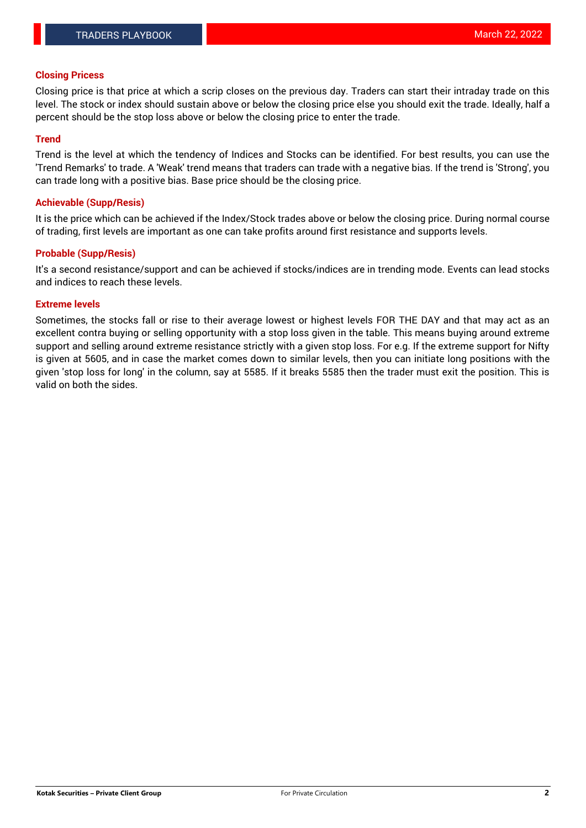### **Closing Pricess**

Closing price is that price at which a scrip closes on the previous day. Traders can start their intraday trade on this level. The stock or index should sustain above or below the closing price else you should exit the trade. Ideally, half a percent should be the stop loss above or below the closing price to enter the trade.

## **Trend**

Trend is the level at which the tendency of Indices and Stocks can be identified. For best results, you can use the 'Trend Remarks' to trade. A 'Weak' trend means that traders can trade with a negative bias. If the trend is 'Strong', you can trade long with a positive bias. Base price should be the closing price.

### **Achievable (Supp/Resis)**

It is the price which can be achieved if the Index/Stock trades above or below the closing price. During normal course of trading, first levels are important as one can take profits around first resistance and supports levels.

## **Probable (Supp/Resis)**

It's a second resistance/support and can be achieved if stocks/indices are in trending mode. Events can lead stocks and indices to reach these levels.

#### **Extreme levels**

Sometimes, the stocks fall or rise to their average lowest or highest levels FOR THE DAY and that may act as an excellent contra buying or selling opportunity with a stop loss given in the table. This means buying around extreme support and selling around extreme resistance strictly with a given stop loss. For e.g. If the extreme support for Nifty is given at 5605, and in case the market comes down to similar levels, then you can initiate long positions with the given 'stop loss for long' in the column, say at 5585. If it breaks 5585 then the trader must exit the position. This is valid on both the sides.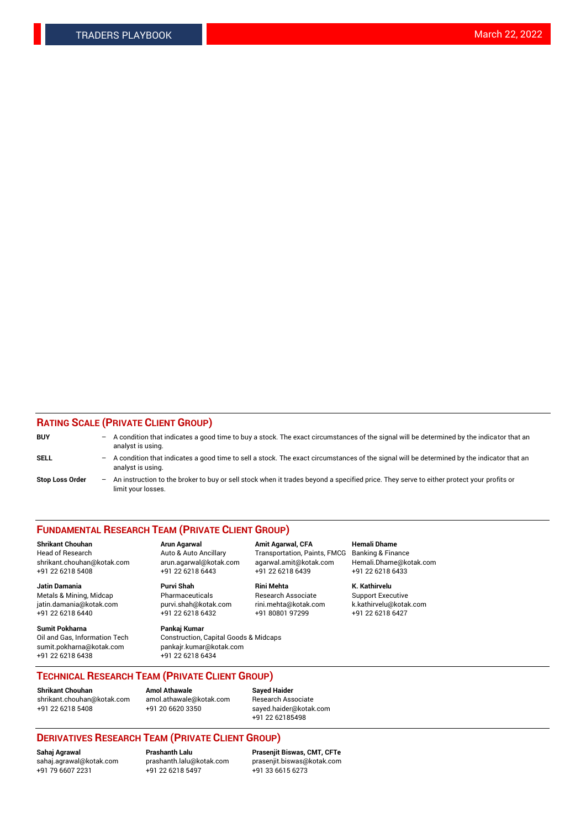## **RATING SCALE (PRIVATE CLIENT GROUP)**

| <b>BUY</b>             | $\overline{\phantom{0}}$ | A condition that indicates a good time to buy a stock. The exact circumstances of the signal will be determined by the indicator that an<br>analyst is using.  |
|------------------------|--------------------------|----------------------------------------------------------------------------------------------------------------------------------------------------------------|
| SELL                   | -                        | A condition that indicates a good time to sell a stock. The exact circumstances of the signal will be determined by the indicator that an<br>analyst is using. |
| <b>Stop Loss Order</b> | $\qquad \qquad -$        | An instruction to the broker to buy or sell stock when it trades beyond a specified price. They serve to either protect your profits or<br>limit your losses.  |

#### **FUNDAMENTAL RESEARCH TEAM (PRIVATE CLIENT GROUP)**

**Jatin Damania Purvi Shah Rini Mehta K. Kathirvelu** Metals & Mining, Midcap **Pharmaceuticals** Research Associate Support Executive jatin.damania@kotak.com [purvi.shah@kotak.com](mailto:purvi.shah@kotak.com) rini.mehta@kotak.com [k.kathirvelu@kotak.com](mailto:k.kathirvelu@kotak.com)

**Sumit Pokharna Pankaj Kumar** +91 22 6218 6438 +91 22 6218 6434

**Shrikant Chouhan Arun Agarwal Amit Agarwal, CFA Hemali Dhame**

 $+91$  22 6218 6432

Oil and Gas, Information Tech Construction, Capital Goods & Midcaps<br>sumit.pokharna@kotak.com pankair.kumar@kotak.com pankajr.kumar@kotak.com

Head of Research Auto & Auto Ancillary Transportation, Paints, FMCG Banking & Finance shrikant.chouhan@kotak.com arun.agarwal@kotak.com agarwal.amit@kotak.com Hemali.Dhame@kotak.com +91 22 6218 5408 +91 22 6218 6443 +91 22 6218 6439 +91 22 6218 6433

**TECHNICAL RESEARCH TEAM (PRIVATE CLIENT GROUP)**

[shrikant.chouhan@kotak.com](mailto:shrikant.chouhan@kotak.com) [amol.athawale@kotak.com](mailto:amol.athawale@kotak.com) Research Associate +91 22 6218 5408 +91 20 6620 3350 [sayed.haider@kotak.com](mailto:sayed.haider@kotak.com)

**Shrikant Chouhan Amol Athawale Sayed Haider**

+91 22 62185498

# **DERIVATIVES RESEARCH TEAM (PRIVATE CLIENT GROUP)**

.<br>+91 22 6218 5497

**Sahaj Agrawal Prashanth Lalu Prasenjit Biswas, CMT, CFTe** [sahaj.agrawal@kotak.com](mailto:sahaj.agrawal@kotak.com) [prashanth.lalu@kotak.com](mailto:prashanth.lalu@kotak.com) [prasenjit.biswas@kotak.com](mailto:prasenjit.biswas@kotak.com)